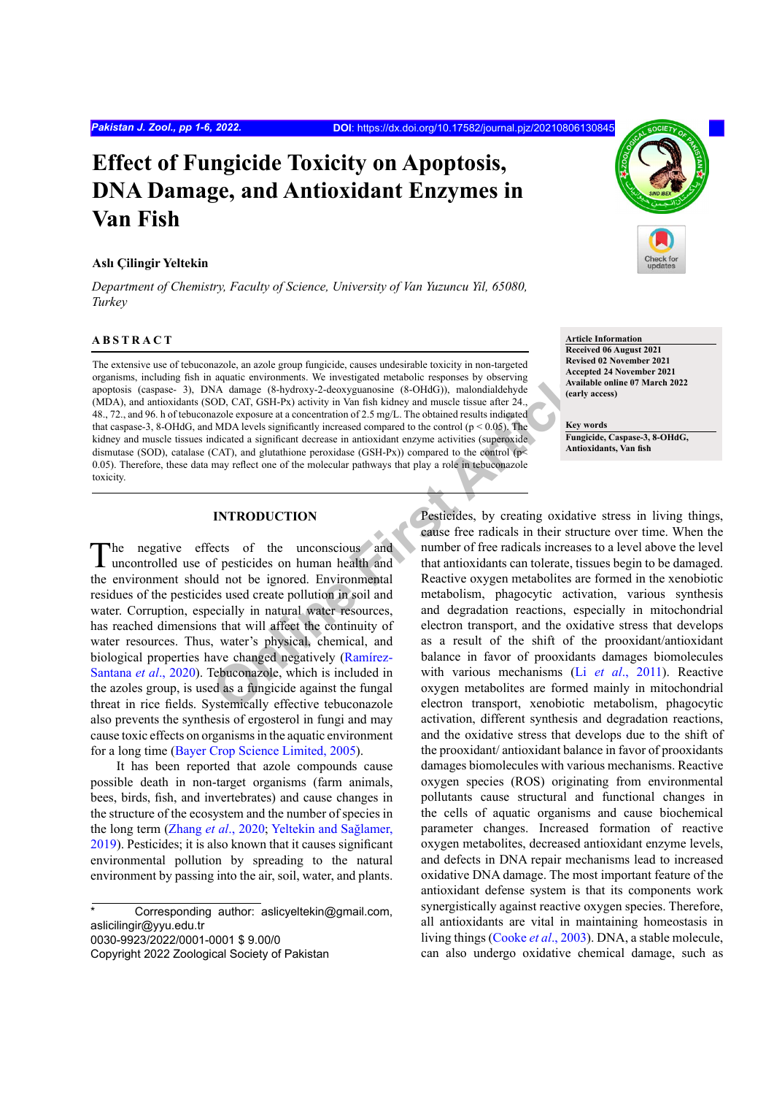# **Effect of Fungicide Toxicity on Apoptosis, DNA Damage, and Antioxidant Enzymes in Van Fish**

# **Aslı Çilingir Yeltekin**

*Department of Chemistry, Faculty of Science, University of Van Yuzuncu Yil, 65080, Turkey*

## **ABSTRACT**

**Example 1.1**<br>
Articlean and a structure and a structure and a straight Article Articlean and CD, CAT, GSH-Px) activity in Van fish kidney and muscle tissue after 24.<br>
And DD, CAT, GSH-Px) activity in Van fish kidney and m The extensive use of tebuconazole, an azole group fungicide, causes undesirable toxicity in non-targeted organisms, including fish in aquatic environments. We investigated metabolic responses by observing apoptosis (caspase- 3), DNA damage (8-hydroxy-2-deoxyguanosine (8-OHdG)), malondialdehyde (MDA), and antioxidants (SOD, CAT, GSH-Px) activity in Van fish kidney and muscle tissue after 24., 48., 72., and 96. h of tebuconazole exposure at a concentration of 2.5 mg/L. The obtained results indicated that caspase-3, 8-OHdG, and MDA levels significantly increased compared to the control ( $p < 0.05$ ). The kidney and muscle tissues indicated a significant decrease in antioxidant enzyme activities (superoxide dismutase (SOD), catalase (CAT), and glutathione peroxidase (GSH-Px)) compared to the control ( $p$ < 0.05). Therefore, these data may reflect one of the molecular pathways that play a role in tebuconazole toxicity.

# **INTRODUCTION**

The negative effects of the unconscious and uncontrolled use of pesticides on human health and the environment should not be ignored. Environmental residues of the pesticides used create pollution in soil and water. Corruption, especially in natural water resources, has reached dimensions that will affect the continuity of water resources. Thus, water's physical, chemical, and biological properties have changed negatively (Ramírez-Santana *et al*., 2020). Tebuconazole, which is included in the azoles group, is used as a fungicide against the fungal threat in rice fields. Systemically effective tebuconazole also prevents the synthesis of ergosterol in fungi and may cause toxic effects on organisms in the aquatic environment for a long time ([Bayer Crop Science Limited, 2005\)](#page-4-0).

It has been reported that azole compounds cause possible death in non-target organisms (farm animals, bees, birds, fish, and invertebrates) and cause changes in the structure of the ecosystem and the number of species in the long term ([Zhang](#page-5-0) *et al*., 2020; Yeltekin and Sağlamer, 2019). Pesticides; it is also known that it causes significant environmental pollution by spreading to the natural environment by passing into the air, soil, water, and plants.

Corresponding author: aslicyeltekin@gmail.com, aslicilingir@yyu.edu.tr 0030-9923/2022/0001-0001 \$ 9.00/0 Copyright 2022 Zoological Society of Pakistan



**Article Information Received 06 August 2021 Revised 02 November 2021 Accepted 24 November 2021 Available online 07 March 2022 (early access)**

**Key words Fungicide, Caspase-3, 8-OHdG, Antioxidants, Van fish**

Pesticides, by creating oxidative stress in living things, cause free radicals in their structure over time. When the number of free radicals increases to a level above the level that antioxidants can tolerate, tissues begin to be damaged. Reactive oxygen metabolites are formed in the xenobiotic metabolism, phagocytic activation, various synthesis and degradation reactions, especially in mitochondrial electron transport, and the oxidative stress that develops as a result of the shift of the prooxidant/antioxidant balance in favor of prooxidants damages biomolecules with various mechanisms (Li *et al*[., 2011](#page-4-1)). Reactive oxygen metabolites are formed mainly in mitochondrial electron transport, xenobiotic metabolism, phagocytic activation, different synthesis and degradation reactions, and the oxidative stress that develops due to the shift of the prooxidant/ antioxidant balance in favor of prooxidants damages biomolecules with various mechanisms. Reactive oxygen species (ROS) originating from environmental pollutants cause structural and functional changes in the cells of aquatic organisms and cause biochemical parameter changes. Increased formation of reactive oxygen metabolites, decreased antioxidant enzyme levels, and defects in DNA repair mechanisms lead to increased oxidative DNA damage. The most important feature of the antioxidant defense system is that its components work synergistically against reactive oxygen species. Therefore, all antioxidants are vital in maintaining homeostasis in living things ([Cooke](#page-4-2) *et al*., 2003). DNA, a stable molecule, can also undergo oxidative chemical damage, such as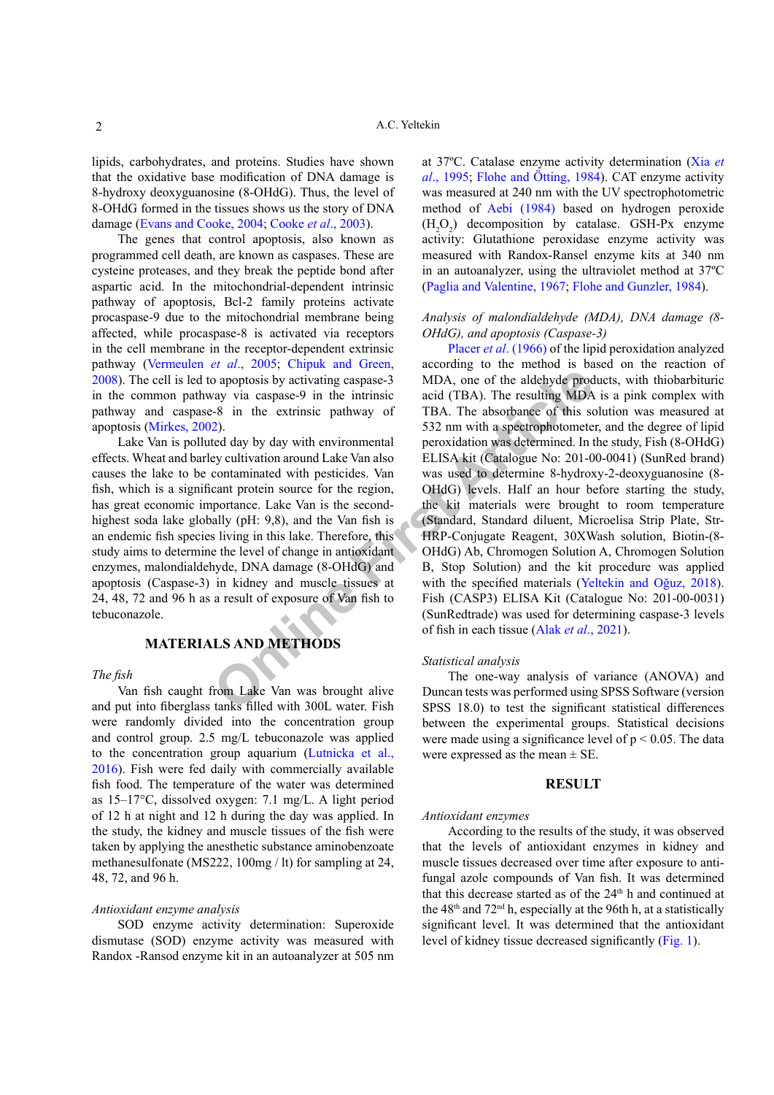lipids, carbohydrates, and proteins. Studies have shown that the oxidative base modification of DNA damage is 8-hydroxy deoxyguanosine (8-OHdG). Thus, the level of 8-OHdG formed in the tissues shows us the story of DNA damage ([Evans and Cooke, 2004](#page-4-3); [Cooke](#page-4-2) *et al*., 2003).

The genes that control apoptosis, also known as programmed cell death, are known as caspases. These are cysteine proteases, and they break the peptide bond after aspartic acid. In the mitochondrial-dependent intrinsic pathway of apoptosis, Bcl-2 family proteins activate procaspase-9 due to the mitochondrial membrane being affected, while procaspase-8 is activated via receptors in the cell membrane in the receptor-dependent extrinsic pathway ([Vermeulen](#page-5-1) *et al*., 2005; [Chipuk and Green,](#page-4-4) [2008\)](#page-4-4). The cell is led to apoptosis by activating caspase-3 in the common pathway via caspase-9 in the intrinsic pathway and caspase-8 in the extrinsic pathway of apoptosis ([Mirkes, 2002\)](#page-4-5).

Lake Van is polluted day by day with environmental effects. Wheat and barley cultivation around Lake Van also causes the lake to be contaminated with pesticides. Van fish, which is a significant protein source for the region, has great economic importance. Lake Van is the secondhighest soda lake globally (pH: 9,8), and the Van fish is an endemic fish species living in this lake. Therefore, this study aims to determine the level of change in antioxidant enzymes, malondialdehyde, DNA damage (8-OHdG) and apoptosis (Caspase-3) in kidney and muscle tissues at 24, 48, 72 and 96 h as a result of exposure of Van fish to tebuconazole.

# **MATERIALS AND METHODS**

## *The fish*

Van fish caught from Lake Van was brought alive and put into fiberglass tanks filled with 300L water. Fish were randomly divided into the concentration group and control group. 2.5 mg/L tebuconazole was applied to the concentration group aquarium (Lutnicka et al., 2016). Fish were fed daily with commercially available fish food. The temperature of the water was determined as 15–17°C, dissolved oxygen: 7.1 mg/L. A light period of 12 h at night and 12 h during the day was applied. In the study, the kidney and muscle tissues of the fish were taken by applying the anesthetic substance aminobenzoate methanesulfonate (MS222, 100mg / lt) for sampling at 24, 48, 72, and 96 h.

#### *Antioxidant enzyme analysis*

SOD enzyme activity determination: Superoxide dismutase (SOD) enzyme activity was measured with Randox -Ransod enzyme kit in an autoanalyzer at 505 nm at 37ºC. Catalase enzyme activity determination (Xia *et al*., 1995; [Flohe and Ötting, 1984\)](#page-4-6). CAT enzyme activity was measured at 240 nm with the UV spectrophotometric method of [Aebi \(1984\)](#page-3-0) based on hydrogen peroxide  $(H_2O_2)$  decomposition by catalase. GSH-Px enzyme activity: Glutathione peroxidase enzyme activity was measured with Randox-Ransel enzyme kits at 340 nm in an autoanalyzer, using the ultraviolet method at 37ºC ([Paglia and Valentine, 1967](#page-4-7); [Flohe and Gunzler, 1984](#page-4-6)).

# *Analysis of malondialdehyde (MDA), DNA damage (8- OHdG), and apoptosis (Caspase-3)*

**Computer Solution**<br> **Only and Computer Article** Computer and the set all the set all the set all the set all the extrinsic pathway of TBA. The resulting MDA<br>
2).<br>
TBA. The absorbance of this set aldehyde production was de Placer *et al.* (1966) of the lipid peroxidation analyzed according to the method is based on the reaction of MDA, one of the aldehyde products, with thiobarbituric acid (TBA). The resulting MDA is a pink complex with TBA. The absorbance of this solution was measured at 532 nm with a spectrophotometer, and the degree of lipid peroxidation was determined. In the study, Fish (8-OHdG) ELISA kit (Catalogue No: 201-00-0041) (SunRed brand) was used to determine 8-hydroxy-2-deoxyguanosine (8- OHdG) levels. Half an hour before starting the study, the kit materials were brought to room temperature (Standard, Standard diluent, Microelisa Strip Plate, Str-HRP-Conjugate Reagent, 30XWash solution, Biotin-(8- OHdG) Ab, Chromogen Solution A, Chromogen Solution B, Stop Solution) and the kit procedure was applied with the specified materials (Yeltekin and Oğuz, 2018). Fish (CASP3) ELISA Kit (Catalogue No: 201-00-0031) (SunRedtrade) was used for determining caspase-3 levels of fish in each tissue (Alak *et al*., 2021).

## *Statistical analysis*

The one-way analysis of variance (ANOVA) and Duncan tests was performed using SPSS Software (version SPSS 18.0) to test the significant statistical differences between the experimental groups. Statistical decisions were made using a significance level of  $p < 0.05$ . The data were expressed as the mean  $\pm$  SE.

#### **RESULT**

# *Antioxidant enzymes*

According to the results of the study, it was observed that the levels of antioxidant enzymes in kidney and muscle tissues decreased over time after exposure to antifungal azole compounds of Van fish. It was determined that this decrease started as of the  $24<sup>th</sup>$  h and continued at the  $48<sup>th</sup>$  and  $72<sup>nd</sup>$  h, especially at the 96th h, at a statistically significant level. It was determined that the antioxidant level of kidney tissue decreased significantly ([Fig. 1](#page-2-0)).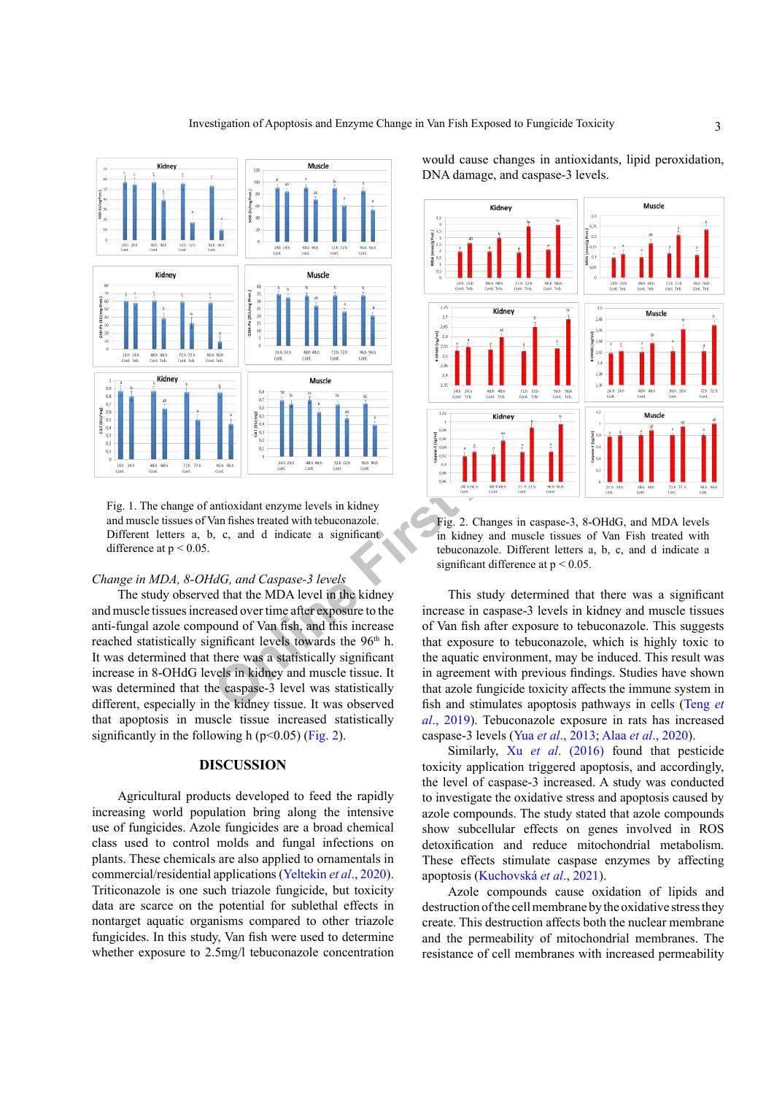

<span id="page-2-0"></span>Fig. 1. The change of antioxidant enzyme levels in kidney and muscle tissues of Van fishes treated with tebuconazole. Different letters a, b, c, and d indicate a significant difference at  $p < 0.05$ .

#### *Change in MDA, 8-OHdG, and Caspase-3 levels*

The study observed that the MDA level in the kidney and muscle tissues increased over time after exposure to the anti-fungal azole compound of Van fish, and this increase reached statistically significant levels towards the 96<sup>th</sup> h. It was determined that there was a statistically significant increase in 8-OHdG levels in kidney and muscle tissue. It was determined that the caspase-3 level was statistically different, especially in the kidney tissue. It was observed that apoptosis in muscle tissue increased statistically significantly in the following h ( $p<0.05$ ) [\(Fig. 2\)](#page-2-1).

#### **DISCUSSION**

Agricultural products developed to feed the rapidly increasing world population bring along the intensive use of fungicides. Azole fungicides are a broad chemical class used to control molds and fungal infections on plants. These chemicals are also applied to ornamentals in commercial/residential applications (Yeltekin *et al*., 2020). Triticonazole is one such triazole fungicide, but toxicity data are scarce on the potential for sublethal effects in nontarget aquatic organisms compared to other triazole fungicides. In this study, Van fish were used to determine whether exposure to 2.5mg/l tebuconazole concentration

would cause changes in antioxidants, lipid peroxidation, DNA damage, and caspase-3 levels.



<span id="page-2-1"></span>Fig. 2. Changes in caspase-3, 8-OHdG, and MDA levels in kidney and muscle tissues of Van Fish treated with tebuconazole. Different letters a, b, c, and d indicate a significant difference at  $p < 0.05$ .

This study determined that there was a significant increase in caspase-3 levels in kidney and muscle tissues of Van fish after exposure to tebuconazole. This suggests that exposure to tebuconazole, which is highly toxic to the aquatic environment, may be induced. This result was in agreement with previous findings. Studies have shown that azole fungicide toxicity affects the immune system in fish and stimulates apoptosis pathways in cells ([Teng](#page-5-2) *et al*[., 2019\)](#page-5-2). Tebuconazole exposure in rats has increased caspase-3 levels (Yua *et al*[., 2013](#page-5-3); Alaa *et al*., 2020).

Similarly, Xu *et al*[. \(2016\)](#page-5-4) found that pesticide toxicity application triggered apoptosis, and accordingly, the level of caspase-3 increased. A study was conducted to investigate the oxidative stress and apoptosis caused by azole compounds. The study stated that azole compounds show subcellular effects on genes involved in ROS detoxification and reduce mitochondrial metabolism. These effects stimulate caspase enzymes by affecting apoptosis (Kuchovská *et al*., 2021).

Azole compounds cause oxidation of lipids and destruction of the cell membrane by the oxidative stress they create. This destruction affects both the nuclear membrane and the permeability of mitochondrial membranes. The resistance of cell membranes with increased permeability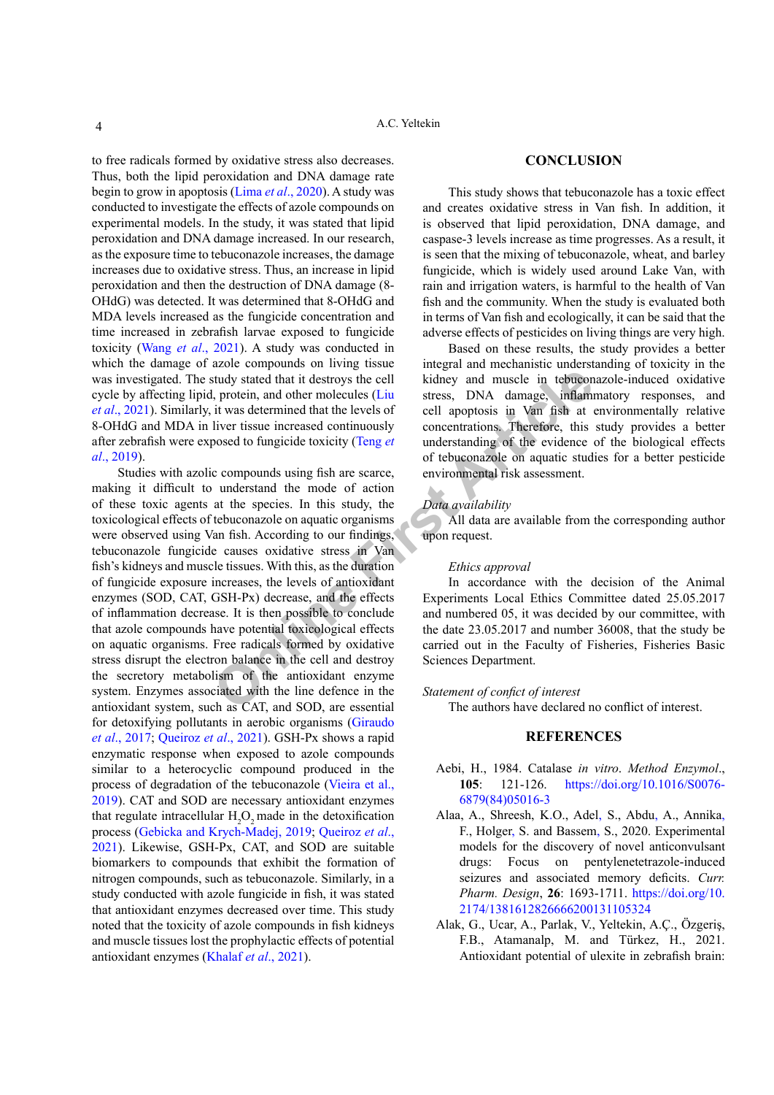to free radicals formed by oxidative stress also decreases. Thus, both the lipid peroxidation and DNA damage rate begin to grow in apoptosis (Lima *et al*[., 2020\)](#page-4-9). A study was conducted to investigate the effects of azole compounds on experimental models. In the study, it was stated that lipid peroxidation and DNA damage increased. In our research, as the exposure time to tebuconazole increases, the damage increases due to oxidative stress. Thus, an increase in lipid peroxidation and then the destruction of DNA damage (8- OHdG) was detected. It was determined that 8-OHdG and MDA levels increased as the fungicide concentration and time increased in zebrafish larvae exposed to fungicide toxicity (Wang *et al*[., 2021](#page-5-5)). A study was conducted in which the damage of azole compounds on living tissue was investigated. The study stated that it destroys the cell cycle by affecting lipid, protein, and other molecules (Liu *et al*[., 2021](#page-4-10)). Similarly, it was determined that the levels of 8-OHdG and MDA in liver tissue increased continuously after zebrafish were exposed to fungicide toxicity (Teng *et al*[., 2019\)](#page-5-2).

Study stated that it destroys the cell<br>
it was determined that the levels of<br>
it was determined that the levels of<br>
it was determined that the levels of<br>
it was determined that the levels of<br>
it was determined that the lev Studies with azolic compounds using fish are scarce, making it difficult to understand the mode of action of these toxic agents at the species. In this study, the toxicological effects of tebuconazole on aquatic organisms were observed using Van fish. According to our findings, tebuconazole fungicide causes oxidative stress in Van fish's kidneys and muscle tissues. With this, as the duration of fungicide exposure increases, the levels of antioxidant enzymes (SOD, CAT, GSH-Px) decrease, and the effects of inflammation decrease. It is then possible to conclude that azole compounds have potential toxicological effects on aquatic organisms. Free radicals formed by oxidative stress disrupt the electron balance in the cell and destroy the secretory metabolism of the antioxidant enzyme system. Enzymes associated with the line defence in the antioxidant system, such as CAT, and SOD, are essential for detoxifying pollutants in aerobic organisms (Giraudo *et al*., 2017; Queiroz *et al*., 2021). GSH-Px shows a rapid enzymatic response when exposed to azole compounds similar to a heterocyclic compound produced in the process of degradation of the tebuconazole ([Vieira et al.](#page-5-6), [2019\)](#page-5-6). CAT and SOD are necessary antioxidant enzymes that regulate intracellular  $H_2O_2$  made in the detoxification process ([Gebicka and Krych-Madej, 2019](#page-4-11); Queiroz *et al*., 2021). Likewise, GSH-Px, CAT, and SOD are suitable biomarkers to compounds that exhibit the formation of nitrogen compounds, such as tebuconazole. Similarly, in a study conducted with azole fungicide in fish, it was stated that antioxidant enzymes decreased over time. This study noted that the toxicity of azole compounds in fish kidneys and muscle tissues lost the prophylactic effects of potential antioxidant enzymes (Khalaf *et al*., 2021).

#### **CONCLUSION**

This study shows that tebuconazole has a toxic effect and creates oxidative stress in Van fish. In addition, it is observed that lipid peroxidation, DNA damage, and caspase-3 levels increase as time progresses. As a result, it is seen that the mixing of tebuconazole, wheat, and barley fungicide, which is widely used around Lake Van, with rain and irrigation waters, is harmful to the health of Van fish and the community. When the study is evaluated both in terms of Van fish and ecologically, it can be said that the adverse effects of pesticides on living things are very high.

Based on these results, the study provides a better integral and mechanistic understanding of toxicity in the kidney and muscle in tebuconazole-induced oxidative stress, DNA damage, inflammatory responses, and cell apoptosis in Van fish at environmentally relative concentrations. Therefore, this study provides a better understanding of the evidence of the biological effects of tebuconazole on aquatic studies for a better pesticide environmental risk assessment.

### *Data availability*

All data are available from the corresponding author upon request.

#### *Ethics approval*

In accordance with the decision of the Animal Experiments Local Ethics Committee dated 25.05.2017 and numbered 05, it was decided by our committee, with the date 23.05.2017 and number 36008, that the study be carried out in the Faculty of Fisheries, Fisheries Basic Sciences Department.

#### *Statement of confict of interest*

The authors have declared no conflict of interest.

# **REFERENCES**

- <span id="page-3-0"></span>Aebi, H., 1984. Catalase *in vitro*. *Method Enzymol*., **105**: 121-126. [https://doi.org/10.1016/S0076-](https://doi.org/10.1016/S0076-6879(84)05016-3) [6879\(84\)05016-3](https://doi.org/10.1016/S0076-6879(84)05016-3)
- Alaa, A., Shreesh, K.O., Adel, S., Abdu, A., Annika, F., Holger, S. and Bassem, S., 2020. Experimental models for the discovery of novel anticonvulsant drugs: Focus on pentylenetetrazole-induced seizures and associated memory deficits. *Curr. Pharm. Design*, **26**: 1693-1711. [https://doi.org/10.](https://doi.org/10.2174/1381612826666200131105324) [2174/1381612826666200131105324](https://doi.org/10.2174/1381612826666200131105324)
- Alak, G., Ucar, A., Parlak, V., Yeltekin, A.Ç., Özgeriş, F.B., Atamanalp, M. and Türkez, H., 2021. Antioxidant potential of ulexite in zebrafish brain: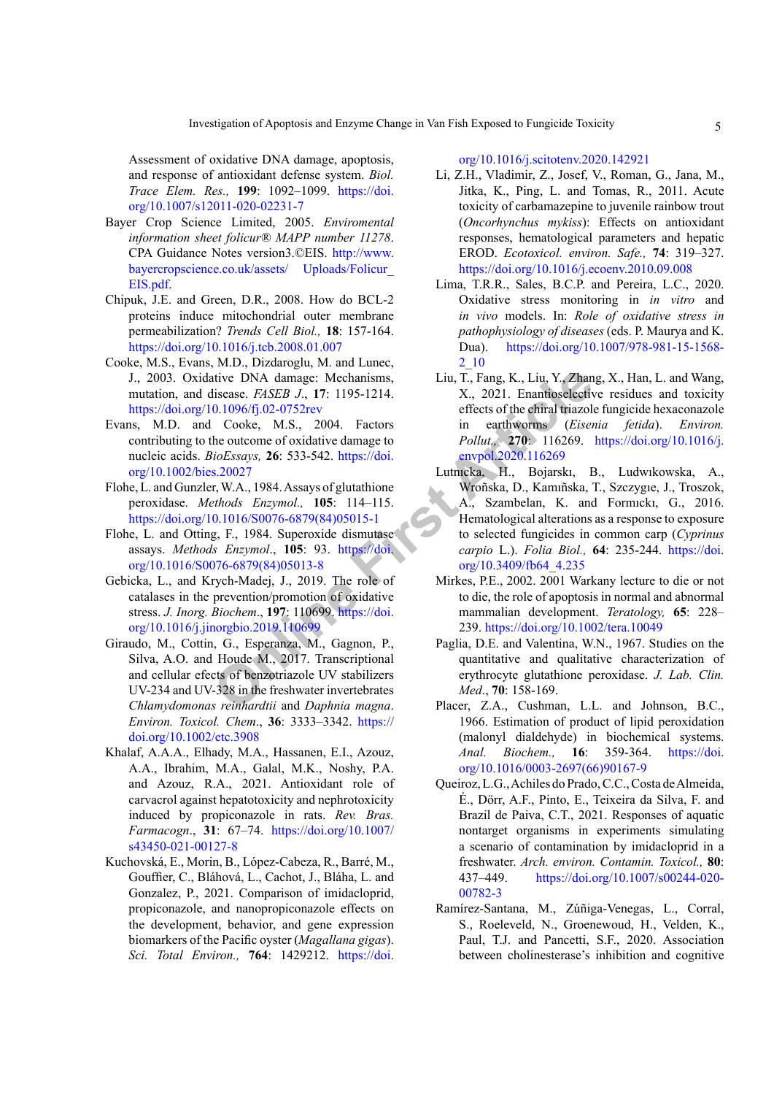Assessment of oxidative DNA damage, apoptosis, and response of antioxidant defense system. *Biol. Trace Elem. Res.,* **199**: 1092–1099. [https://doi.](https://doi.org/10.1007/s12011-020-02231-7) [org/10.1007/s12011-020-02231-7](https://doi.org/10.1007/s12011-020-02231-7)

- <span id="page-4-0"></span>Bayer Crop Science Limited, 2005. *Enviromental information sheet folicur® MAPP number 11278*. CPA Guidance Notes version3.©EIS. [http://www.](http://www.bayercropscience.co.uk/assets/ Uploads/Folicur_EIS.pdf) [bayercropscience.co.uk/assets/ Uploads/Folicur\\_](http://www.bayercropscience.co.uk/assets/ Uploads/Folicur_EIS.pdf) [EIS.pdf.](http://www.bayercropscience.co.uk/assets/ Uploads/Folicur_EIS.pdf)
- <span id="page-4-4"></span>Chipuk, J.E. and Green, D.R., 2008. How do BCL-2 proteins induce mitochondrial outer membrane permeabilization? *Trends Cell Biol.,* **18**: 157-164. <https://doi.org/10.1016/j.tcb.2008.01.007>
- <span id="page-4-2"></span>Cooke, M.S., Evans, M.D., Dizdaroglu, M. and Lunec, J., 2003. Oxidative DNA damage: Mechanisms, mutation, and disease. *FASEB J*., **17**: 1195-1214. <https://doi.org/10.1096/fj.02-0752rev>
- <span id="page-4-3"></span>Evans, M.D. and Cooke, M.S., 2004. Factors contributing to the outcome of oxidative damage to nucleic acids. *BioEssays,* **26**: 533-542. https://doi. [org/10.1002/bies.20027](https://doi.org/10.1002/bies.20027)
- <span id="page-4-6"></span>Flohe, L. and Gunzler, W.A., 1984. Assays of glutathione peroxidase. *Methods Enzymol.,* **105**: 114–115. [https://doi.org/10.1016/S0076-6879\(84\)05015-1](https://doi.org/10.1016/S0076-6879(84)05015-1)
- Flohe, L. and Otting, F., 1984. Superoxide dismutase assays. *Methods Enzymol*., **105**: 93. https://doi. [org/10.1016/S0076-6879\(84\)05013-8](https://doi.org/10.1016/S0076-6879(84)05013-8)
- <span id="page-4-11"></span>Gebicka, L., and Krych-Madej, J., 2019. The role of catalases in the prevention/promotion of oxidative stress. *J. Inorg. Biochem*., **197**: 110699. https://doi. [org/10.1016/j.jinorgbio.2019.110699](https://doi.org/10.1016/j.jinorgbio.2019.110699)
- Giraudo, M., Cottin, G., Esperanza, M., Gagnon, P., Silva, A.O. and Houde M., 2017. Transcriptional and cellular efects of benzotriazole UV stabilizers UV-234 and UV-328 in the freshwater invertebrates *Chlamydomonas reinhardtii* and *Daphnia magna*. *Environ. Toxicol. Chem*., **36**: 3333–3342. [https://](https://doi.org/10.1002/etc.3908) [doi.org/10.1002/etc.3908](https://doi.org/10.1002/etc.3908)
- Khalaf, A.A.A., Elhady, M.A., Hassanen, E.I., Azouz, A.A., Ibrahim, M.A., Galal, M.K., Noshy, P.A. and Azouz, R.A., 2021. Antioxidant role of carvacrol against hepatotoxicity and nephrotoxicity induced by propiconazole in rats. *Rev. Bras. Farmacogn*., **31**: 67–74. [https://doi.org/10.1007/](https://doi.org/10.1007/s43450-021-00127-8) [s43450-021-00127-8](https://doi.org/10.1007/s43450-021-00127-8)
- Kuchovská, E., Morin, B., López-Cabeza, R., Barré, M., Gouffier, C., Bláhová, L., Cachot, J., Bláha, L. and Gonzalez, P., 2021. Comparison of imidacloprid, propiconazole, and nanopropiconazole effects on the development, behavior, and gene expression biomarkers of the Pacific oyster (*Magallana gigas*). *Sci. Total Environ.,* **764**: 1429212. [https://doi.](https://doi.org/10.1016/j.scitotenv.2020.142921)

[org/10.1016/j.scitotenv.2020.142921](https://doi.org/10.1016/j.scitotenv.2020.142921)

- <span id="page-4-1"></span>Li, Z.H., Vladimir, Z., Josef, V., Roman, G., Jana, M., Jitka, K., Ping, L. and Tomas, R., 2011. Acute toxicity of carbamazepine to juvenile rainbow trout (*Oncorhynchus mykiss*): Effects on antioxidant responses, hematological parameters and hepatic EROD. *Ecotoxicol. environ. Safe.,* **74**: 319–327. <https://doi.org/10.1016/j.ecoenv.2010.09.008>
- <span id="page-4-9"></span>Lima, T.R.R., Sales, B.C.P. and Pereira, L.C., 2020. Oxidative stress monitoring in *in vitro* and *in vivo* models. In: *Role of oxidative stress in pathophysiology of diseases* (eds. P. Maurya and K. Dua). [https://doi.org/10.1007/978-981-15-1568-](https://doi.org/10.1007/978-981-15-1568-2_10) [2\\_10](https://doi.org/10.1007/978-981-15-1568-2_10)
- <span id="page-4-10"></span><span id="page-4-8"></span><span id="page-4-7"></span><span id="page-4-5"></span>Liu, T., Fang, K., Liu, Y., Zhang, X., Han, L. and Wang, X., 2021. Enantioselective residues and toxicity effects of the chiral triazole fungicide hexaconazole in earthworms (*Eisenia fetida*). *Environ. Pollut.,* **270**: 116269. [https://doi.org/10.1016/j.](https://doi.org/10.1016/j.envpol.2020.116269) envpol.2020.116269
- L[e](https://doi.org/10.1016/j.jinorgbio.2019.110699)ttive DNA damage: Mechanisms,<br>
Liu, T., Fang, K., Liu, Y., Zhan<br>
Issease. *FASEB J.*, 17: 1195-1214.<br>
Cooke, M.S., 2001. Enantiosclective<br>
colocke, M.S., 2004. Factors<br>
in earthworms (*Eiser*<br>
the outcome of oxidative da Lutnıcka, H., Bojarskı, B., Ludwıkowska, A., Wroñska, D., Kamıñska, T., Szczygıe, J., Troszok, A., Szambelan, K. and Formıckı, G., 2016. Hematological alterations as a response to exposure to selected fungicides in common carp (*Cyprinus carpio* L.). *Folia Biol.,* **64**: 235-244. [https://doi.](https://doi.org/10.3409/fb64_4.235) org/10.3409/fb64\_4.235
	- Mirkes, P.E., 2002. 2001 Warkany lecture to die or not to die, the role of apoptosis in normal and abnormal mammalian development. *Teratology,* **65**: 228– 239.<https://doi.org/10.1002/tera.10049>
	- Paglia, D.E. and Valentina, W.N., 1967. Studies on the quantitative and qualitative characterization of erythrocyte glutathione peroxidase. *J. Lab. Clin. Med*., **70**: 158-169.
	- Placer, Z.A., Cushman, L.L. and Johnson, B.C., 1966. Estimation of product of lipid peroxidation (malonyl dialdehyde) in biochemical systems. *Anal. Biochem.,* **16**: 359-364. [https://doi.](https://doi.org/10.1016/0003-2697(66)90167-9) [org/10.1016/0003-2697\(66\)90167-9](https://doi.org/10.1016/0003-2697(66)90167-9)
	- Queiroz, L.G., Achiles do Prado, C.C., Costa de Almeida, É., Dörr, A.F., Pinto, E., Teixeira da Silva, F. and Brazil de Paiva, C.T., 2021. Responses of aquatic nontarget organisms in experiments simulating a scenario of contamination by imidacloprid in a freshwater. *Arch. environ. Contamin. Toxicol.,* **80**: 437–449. [https://doi.org/10.1007/s00244-020-](https://doi.org/10.1007/s00244-020-00782-3) [00782-3](https://doi.org/10.1007/s00244-020-00782-3)
	- Ramírez-Santana, M., Zúñiga-Venegas, L., Corral, S., Roeleveld, N., Groenewoud, H., Velden, K., Paul, T.J. and Pancetti, S.F., 2020. Association between cholinesterase's inhibition and cognitive